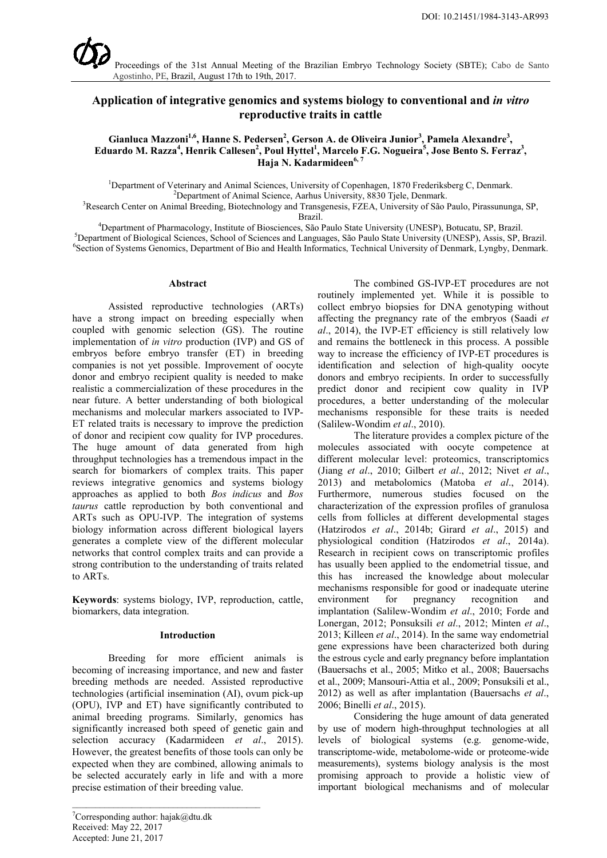

# **Application of integrative genomics and systems biology to conventional and** *in vitro* **reproductive traits in cattle**

### Gianluca Mazzoni<sup>1,6</sup>, Hanne S. Pedersen<sup>2</sup>, Gerson A. de Oliveira Junior<sup>3</sup>, Pamela Alexandre<sup>3</sup>,  $\bf{E}$ duardo M. Razza $^4$ , Henrik Callesen $^2$ , Poul Hyttel $^1$ , Marcelo F.G. Nogueira $^5$ , Jose Bento S. Ferraz $^3$ , **Haja N. Kadarmideen**<sup>6, 7</sup>

<sup>1</sup>Department of Veterinary and Animal Sciences, University of Copenhagen, 1870 Frederiksberg C, Denmark.

Department of Animal Science, Aarhus University, 8830 Tjele, Denmark. <sup>3</sup> Research Center on Animal Breeding, Biotechnology and Transgenesis, FZEA, University of São Paulo, Pirassununga, SP,

Brazil.<br><sup>4</sup>Department of Pharmacology, Institute of Biosciences, São l Department of Pharmacology, Institute of Biosciences, São Paulo State University (UNESP), Botucatu, SP, Brazil. <sup>5</sup> <sup>5</sup>Department of Biological Sciences, School of Sciences and Languages, São Paulo State University (UNESP), Assis, SP, Brazil. <sup>6</sup>Section of Systems Genomics, Department of Bio and Health Informatics, Technical University of Denmark, Lyngby, Denmark.

#### **Abstract**

Assisted reproductive technologies (ARTs) have a strong impact on breeding especially when coupled with genomic selection (GS). The routine implementation of *in vitro* production (IVP) and GS of embryos before embryo transfer (ET) in breeding companies is not yet possible. Improvement of oocyte donor and embryo recipient quality is needed to make realistic a commercialization of these procedures in the near future. A better understanding of both biological mechanisms and molecular markers associated to IVP-ET related traits is necessary to improve the prediction of donor and recipient cow quality for IVP procedures. The huge amount of data generated from high throughput technologies has a tremendous impact in the search for biomarkers of complex traits. This paper reviews integrative genomics and systems biology approaches as applied to both *Bos indicus* and *Bos taurus* cattle reproduction by both conventional and ARTs such as OPU-IVP. The integration of systems biology information across different biological layers generates a complete view of the different molecular networks that control complex traits and can provide a strong contribution to the understanding of traits related to ARTs.

**Keywords**: systems biology, IVP, reproduction, cattle, biomarkers, data integration.

#### **Introduction**

Breeding for more efficient animals is becoming of increasing importance, and new and faster breeding methods are needed. Assisted reproductive technologies (artificial insemination (AI), ovum pick-up (OPU), IVP and ET) have significantly contributed to animal breeding programs. Similarly, genomics has significantly increased both speed of genetic gain and selection accuracy (Kadarmideen *et al*., 2015). However, the greatest benefits of those tools can only be expected when they are combined, allowing animals to be selected accurately early in life and with a more precise estimation of their breeding value.

\_\_\_\_\_\_\_\_\_\_\_\_\_\_\_\_\_\_\_\_\_\_\_\_\_\_\_\_\_\_\_\_\_\_\_\_\_\_\_\_\_

The combined GS-IVP-ET procedures are not routinely implemented yet. While it is possible to collect embryo biopsies for DNA genotyping without affecting the pregnancy rate of the embryos (Saadi *et al*., 2014), the IVP-ET efficiency is still relatively low and remains the bottleneck in this process. A possible way to increase the efficiency of IVP-ET procedures is identification and selection of high-quality oocyte donors and embryo recipients. In order to successfully predict donor and recipient cow quality in IVP procedures, a better understanding of the molecular mechanisms responsible for these traits is needed (Salilew-Wondim *et al*., 2010).

The literature provides a complex picture of the molecules associated with oocyte competence at different molecular level: proteomics, transcriptomics (Jiang *et al*., 2010; Gilbert *et al*., 2012; Nivet *et al*., 2013) and metabolomics (Matoba *et al*., 2014). Furthermore, numerous studies focused on the characterization of the expression profiles of granulosa cells from follicles at different developmental stages (Hatzirodos *et al*., 2014b; Girard *et al*., 2015) and physiological condition (Hatzirodos *et al*., 2014a). Research in recipient cows on transcriptomic profiles has usually been applied to the endometrial tissue, and this has increased the knowledge about molecular mechanisms responsible for good or inadequate uterine environment for pregnancy recognition and implantation (Salilew-Wondim *et al*., 2010; Forde and Lonergan, 2012; Ponsuksili *et al*., 2012; Minten *et al*., 2013; Killeen *et al*., 2014). In the same way endometrial gene expressions have been characterized both during the estrous cycle and early pregnancy before implantation (Bauersachs et al., 2005; Mitko et al., 2008; Bauersachs et al., 2009; Mansouri-Attia et al., 2009; Ponsuksili et al., 2012) as well as after implantation (Bauersachs *et al*., 2006; Binelli *et al*., 2015).

Considering the huge amount of data generated by use of modern high-throughput technologies at all levels of biological systems (e.g. genome-wide, transcriptome-wide, metabolome-wide or proteome-wide measurements), systems biology analysis is the most promising approach to provide a holistic view of important biological mechanisms and of molecular

<sup>&</sup>lt;sup>7</sup>Corresponding author: hajak@dtu.dk Received: May 22, 2017 Accepted: June 21, 2017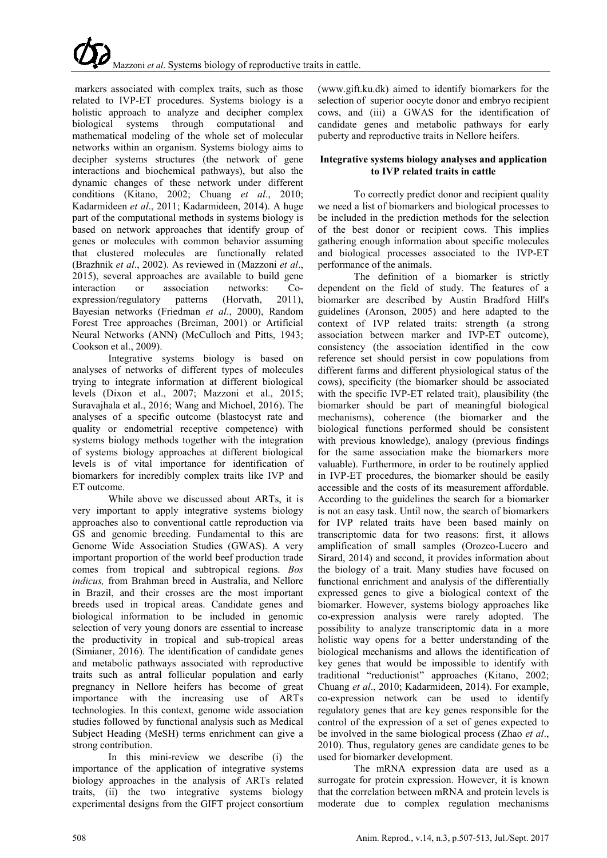markers associated with complex traits, such as those related to IVP-ET procedures. Systems biology is a holistic approach to analyze and decipher complex biological systems through computational and mathematical modeling of the whole set of molecular networks within an organism. Systems biology aims to decipher systems structures (the network of gene interactions and biochemical pathways), but also the dynamic changes of these network under different conditions (Kitano, 2002; Chuang *et al*., 2010; Kadarmideen *et al*., 2011; Kadarmideen, 2014). A huge part of the computational methods in systems biology is based on network approaches that identify group of genes or molecules with common behavior assuming that clustered molecules are functionally related (Brazhnik *et al*., 2002). As reviewed in (Mazzoni *et al*., 2015), several approaches are available to build gene interaction or association networks: Coexpression/regulatory patterns (Horvath, 2011), Bayesian networks (Friedman *et al*., 2000), Random Forest Tree approaches (Breiman, 2001) or Artificial Neural Networks (ANN) (McCulloch and Pitts, 1943; Cookson et al., 2009).

Integrative systems biology is based on analyses of networks of different types of molecules trying to integrate information at different biological levels (Dixon et al., 2007; Mazzoni et al., 2015; Suravajhala et al., 2016; Wang and Michoel, 2016). The analyses of a specific outcome (blastocyst rate and quality or endometrial receptive competence) with systems biology methods together with the integration of systems biology approaches at different biological levels is of vital importance for identification of biomarkers for incredibly complex traits like IVP and ET outcome.

While above we discussed about ARTs, it is very important to apply integrative systems biology approaches also to conventional cattle reproduction via GS and genomic breeding. Fundamental to this are Genome Wide Association Studies (GWAS). A very important proportion of the world beef production trade comes from tropical and subtropical regions. *Bos indicus,* from Brahman breed in Australia, and Nellore in Brazil, and their crosses are the most important breeds used in tropical areas. Candidate genes and biological information to be included in genomic selection of very young donors are essential to increase the productivity in tropical and sub-tropical areas (Simianer, 2016). The identification of candidate genes and metabolic pathways associated with reproductive traits such as antral follicular population and early pregnancy in Nellore heifers has become of great importance with the increasing use of ARTs technologies. In this context, genome wide association studies followed by functional analysis such as Medical Subject Heading (MeSH) terms enrichment can give a strong contribution.

In this mini-review we describe (i) the importance of the application of integrative systems biology approaches in the analysis of ARTs related traits, (ii) the two integrative systems biology experimental designs from the GIFT project consortium

(www.gift.ku.dk) aimed to identify biomarkers for the selection of superior oocyte donor and embryo recipient cows, and (iii) a GWAS for the identification of candidate genes and metabolic pathways for early puberty and reproductive traits in Nellore heifers.

## **Integrative systems biology analyses and application to IVP related traits in cattle**

To correctly predict donor and recipient quality we need a list of biomarkers and biological processes to be included in the prediction methods for the selection of the best donor or recipient cows. This implies gathering enough information about specific molecules and biological processes associated to the IVP-ET performance of the animals.

The definition of a biomarker is strictly dependent on the field of study. The features of a biomarker are described by Austin Bradford Hill's guidelines (Aronson, 2005) and here adapted to the context of IVP related traits: strength (a strong association between marker and IVP-ET outcome), consistency (the association identified in the cow reference set should persist in cow populations from different farms and different physiological status of the cows), specificity (the biomarker should be associated with the specific IVP-ET related trait), plausibility (the biomarker should be part of meaningful biological mechanisms), coherence (the biomarker and the biological functions performed should be consistent with previous knowledge), analogy (previous findings for the same association make the biomarkers more valuable). Furthermore, in order to be routinely applied in IVP-ET procedures, the biomarker should be easily accessible and the costs of its measurement affordable. According to the guidelines the search for a biomarker is not an easy task. Until now, the search of biomarkers for IVP related traits have been based mainly on transcriptomic data for two reasons: first, it allows amplification of small samples (Orozco-Lucero and Sirard, 2014) and second, it provides information about the biology of a trait. Many studies have focused on functional enrichment and analysis of the differentially expressed genes to give a biological context of the biomarker. However, systems biology approaches like co-expression analysis were rarely adopted. The possibility to analyze transcriptomic data in a more holistic way opens for a better understanding of the biological mechanisms and allows the identification of key genes that would be impossible to identify with traditional "reductionist" approaches (Kitano, 2002; Chuang *et al*., 2010; Kadarmideen, 2014). For example, co-expression network can be used to identify regulatory genes that are key genes responsible for the control of the expression of a set of genes expected to be involved in the same biological process (Zhao *et al*., 2010). Thus, regulatory genes are candidate genes to be used for biomarker development.

The mRNA expression data are used as a surrogate for protein expression. However, it is known that the correlation between mRNA and protein levels is moderate due to complex regulation mechanisms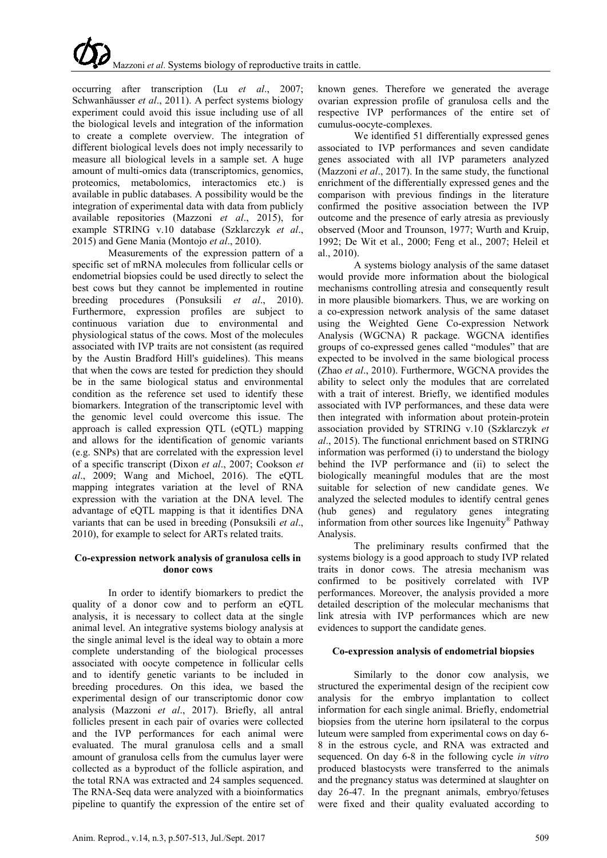# Mazzoni *et al*. Systems biology of reproductive traits in cattle.

occurring after transcription (Lu *et al*., 2007; Schwanhäusser *et al*., 2011). A perfect systems biology experiment could avoid this issue including use of all the biological levels and integration of the information to create a complete overview. The integration of different biological levels does not imply necessarily to measure all biological levels in a sample set. A huge amount of multi-omics data (transcriptomics, genomics, proteomics, metabolomics, interactomics etc.) is available in public databases. A possibility would be the integration of experimental data with data from publicly available repositories (Mazzoni *et al*., 2015), for example STRING v.10 database (Szklarczyk *et al*., 2015) and Gene Mania (Montojo *et al*., 2010).

Measurements of the expression pattern of a specific set of mRNA molecules from follicular cells or endometrial biopsies could be used directly to select the best cows but they cannot be implemented in routine breeding procedures (Ponsuksili *et al*., 2010). Furthermore, expression profiles are subject to continuous variation due to environmental and physiological status of the cows. Most of the molecules associated with IVP traits are not consistent (as required by the Austin Bradford Hill's guidelines). This means that when the cows are tested for prediction they should be in the same biological status and environmental condition as the reference set used to identify these biomarkers. Integration of the transcriptomic level with the genomic level could overcome this issue. The approach is called expression QTL (eQTL) mapping and allows for the identification of genomic variants (e.g. SNPs) that are correlated with the expression level of a specific transcript (Dixon *et al*., 2007; Cookson *et al*., 2009; Wang and Michoel, 2016). The eQTL mapping integrates variation at the level of RNA expression with the variation at the DNA level. The advantage of eQTL mapping is that it identifies DNA variants that can be used in breeding (Ponsuksili *et al*., 2010), for example to select for ARTs related traits.

## **Co-expression network analysis of granulosa cells in donor cows**

In order to identify biomarkers to predict the quality of a donor cow and to perform an eQTL analysis, it is necessary to collect data at the single animal level. An integrative systems biology analysis at the single animal level is the ideal way to obtain a more complete understanding of the biological processes associated with oocyte competence in follicular cells and to identify genetic variants to be included in breeding procedures. On this idea, we based the experimental design of our transcriptomic donor cow analysis (Mazzoni *et al*., 2017). Briefly, all antral follicles present in each pair of ovaries were collected and the IVP performances for each animal were evaluated. The mural granulosa cells and a small amount of granulosa cells from the cumulus layer were collected as a byproduct of the follicle aspiration, and the total RNA was extracted and 24 samples sequenced. The RNA-Seq data were analyzed with a bioinformatics pipeline to quantify the expression of the entire set of known genes. Therefore we generated the average ovarian expression profile of granulosa cells and the respective IVP performances of the entire set of cumulus-oocyte-complexes.

We identified 51 differentially expressed genes associated to IVP performances and seven candidate genes associated with all IVP parameters analyzed (Mazzoni *et al*., 2017). In the same study, the functional enrichment of the differentially expressed genes and the comparison with previous findings in the literature confirmed the positive association between the IVP outcome and the presence of early atresia as previously observed (Moor and Trounson, 1977; Wurth and Kruip, 1992; De Wit et al., 2000; Feng et al., 2007; Heleil et al., 2010).

A systems biology analysis of the same dataset would provide more information about the biological mechanisms controlling atresia and consequently result in more plausible biomarkers. Thus, we are working on a co-expression network analysis of the same dataset using the Weighted Gene Co-expression Network Analysis (WGCNA) R package. WGCNA identifies groups of co-expressed genes called "modules" that are expected to be involved in the same biological process (Zhao *et al*., 2010). Furthermore, WGCNA provides the ability to select only the modules that are correlated with a trait of interest. Briefly, we identified modules associated with IVP performances, and these data were then integrated with information about protein-protein association provided by STRING v.10 (Szklarczyk *et al*., 2015). The functional enrichment based on STRING information was performed (i) to understand the biology behind the IVP performance and (ii) to select the biologically meaningful modules that are the most suitable for selection of new candidate genes. We analyzed the selected modules to identify central genes (hub genes) and regulatory genes integrating information from other sources like Ingenuity ® Pathway Analysis.

The preliminary results confirmed that the systems biology is a good approach to study IVP related traits in donor cows. The atresia mechanism was confirmed to be positively correlated with IVP performances. Moreover, the analysis provided a more detailed description of the molecular mechanisms that link atresia with IVP performances which are new evidences to support the candidate genes.

# **Co-expression analysis of endometrial biopsies**

Similarly to the donor cow analysis, we structured the experimental design of the recipient cow analysis for the embryo implantation to collect information for each single animal. Briefly, endometrial biopsies from the uterine horn ipsilateral to the corpus luteum were sampled from experimental cows on day 6- 8 in the estrous cycle, and RNA was extracted and sequenced. On day 6-8 in the following cycle *in vitro* produced blastocysts were transferred to the animals and the pregnancy status was determined at slaughter on day 26-47. In the pregnant animals, embryo/fetuses were fixed and their quality evaluated according to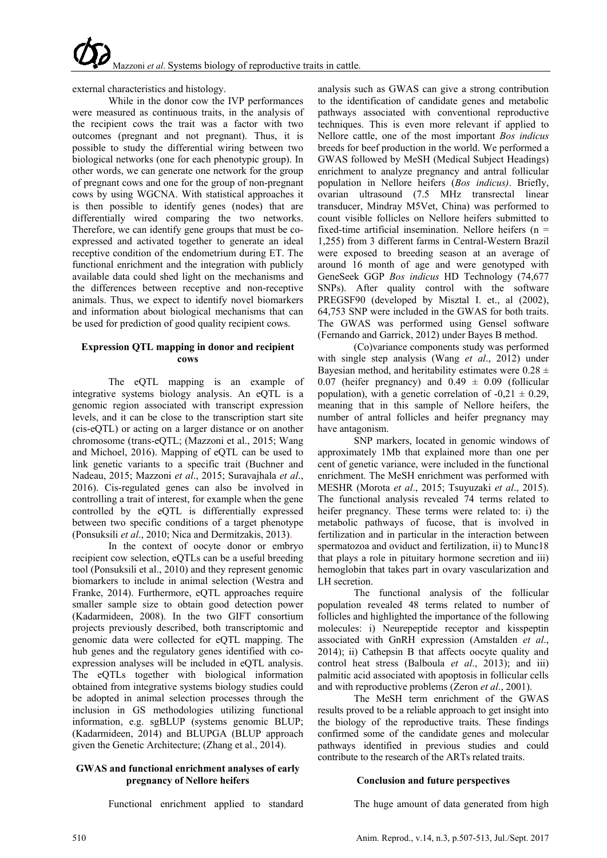external characteristics and histology.

While in the donor cow the IVP performances were measured as continuous traits, in the analysis of the recipient cows the trait was a factor with two outcomes (pregnant and not pregnant). Thus, it is possible to study the differential wiring between two biological networks (one for each phenotypic group). In other words, we can generate one network for the group of pregnant cows and one for the group of non-pregnant cows by using WGCNA. With statistical approaches it is then possible to identify genes (nodes) that are differentially wired comparing the two networks. Therefore, we can identify gene groups that must be coexpressed and activated together to generate an ideal receptive condition of the endometrium during ET. The functional enrichment and the integration with publicly available data could shed light on the mechanisms and the differences between receptive and non-receptive animals. Thus, we expect to identify novel biomarkers and information about biological mechanisms that can be used for prediction of good quality recipient cows.

## **Expression QTL mapping in donor and recipient cows**

The eQTL mapping is an example of integrative systems biology analysis. An eQTL is a genomic region associated with transcript expression levels, and it can be close to the transcription start site (cis-eQTL) or acting on a larger distance or on another chromosome (trans-eQTL; (Mazzoni et al., 2015; Wang and Michoel, 2016). Mapping of eQTL can be used to link genetic variants to a specific trait (Buchner and Nadeau, 2015; Mazzoni *et al*., 2015; Suravajhala *et al*., 2016). Cis-regulated genes can also be involved in controlling a trait of interest, for example when the gene controlled by the eQTL is differentially expressed between two specific conditions of a target phenotype (Ponsuksili *et al*., 2010; Nica and Dermitzakis, 2013).

In the context of oocyte donor or embryo recipient cow selection, eQTLs can be a useful breeding tool (Ponsuksili et al., 2010) and they represent genomic biomarkers to include in animal selection (Westra and Franke, 2014). Furthermore, eQTL approaches require smaller sample size to obtain good detection power (Kadarmideen, 2008). In the two GIFT consortium projects previously described, both transcriptomic and genomic data were collected for eQTL mapping. The hub genes and the regulatory genes identified with coexpression analyses will be included in eQTL analysis. The eQTLs together with biological information obtained from integrative systems biology studies could be adopted in animal selection processes through the inclusion in GS methodologies utilizing functional information, e.g. sgBLUP (systems genomic BLUP; (Kadarmideen, 2014) and BLUPGA (BLUP approach given the Genetic Architecture; (Zhang et al., 2014).

## **GWAS and functional enrichment analyses of early pregnancy of Nellore heifers**

Functional enrichment applied to standard

analysis such as GWAS can give a strong contribution to the identification of candidate genes and metabolic pathways associated with conventional reproductive techniques. This is even more relevant if applied to Nellore cattle, one of the most important *Bos indicus* breeds for beef production in the world. We performed a GWAS followed by MeSH (Medical Subject Headings) enrichment to analyze pregnancy and antral follicular population in Nellore heifers (*Bos indicus)*. Briefly, ovarian ultrasound (7.5 MHz transrectal linear transducer, Mindray M5Vet, China) was performed to count visible follicles on Nellore heifers submitted to fixed-time artificial insemination. Nellore heifers ( $n =$ 1,255) from 3 different farms in Central-Western Brazil were exposed to breeding season at an average of around 16 month of age and were genotyped with GeneSeek GGP *Bos indicus* HD Technology (74,677 SNPs). After quality control with the software PREGSF90 (developed by Misztal I. et., al (2002), 64,753 SNP were included in the GWAS for both traits. The GWAS was performed using Gensel software (Fernando and Garrick, 2012) under Bayes B method.

(Co)variance components study was performed with single step analysis (Wang *et al*., 2012) under Bayesian method, and heritability estimates were  $0.28 \pm$ 0.07 (heifer pregnancy) and  $0.49 \pm 0.09$  (follicular population), with a genetic correlation of  $-0.21 \pm 0.29$ , meaning that in this sample of Nellore heifers, the number of antral follicles and heifer pregnancy may have antagonism.

SNP markers, located in genomic windows of approximately 1Mb that explained more than one per cent of genetic variance, were included in the functional enrichment. The MeSH enrichment was performed with MESHR (Morota *et al*., 2015; Tsuyuzaki *et al*., 2015). The functional analysis revealed 74 terms related to heifer pregnancy. These terms were related to: i) the metabolic pathways of fucose, that is involved in fertilization and in particular in the interaction between spermatozoa and oviduct and fertilization, ii) to Munc18 that plays a role in pituitary hormone secretion and iii) hemoglobin that takes part in ovary vascularization and LH secretion.

The functional analysis of the follicular population revealed 48 terms related to number of follicles and highlighted the importance of the following molecules: i) Neurepeptide receptor and kisspeptin associated with GnRH expression (Amstalden *et al*., 2014); ii) Cathepsin B that affects oocyte quality and control heat stress (Balboula *et al*., 2013); and iii) palmitic acid associated with apoptosis in follicular cells and with reproductive problems (Zeron *et al*., 2001).

The MeSH term enrichment of the GWAS results proved to be a reliable approach to get insight into the biology of the reproductive traits. These findings confirmed some of the candidate genes and molecular pathways identified in previous studies and could contribute to the research of the ARTs related traits.

## **Conclusion and future perspectives**

The huge amount of data generated from high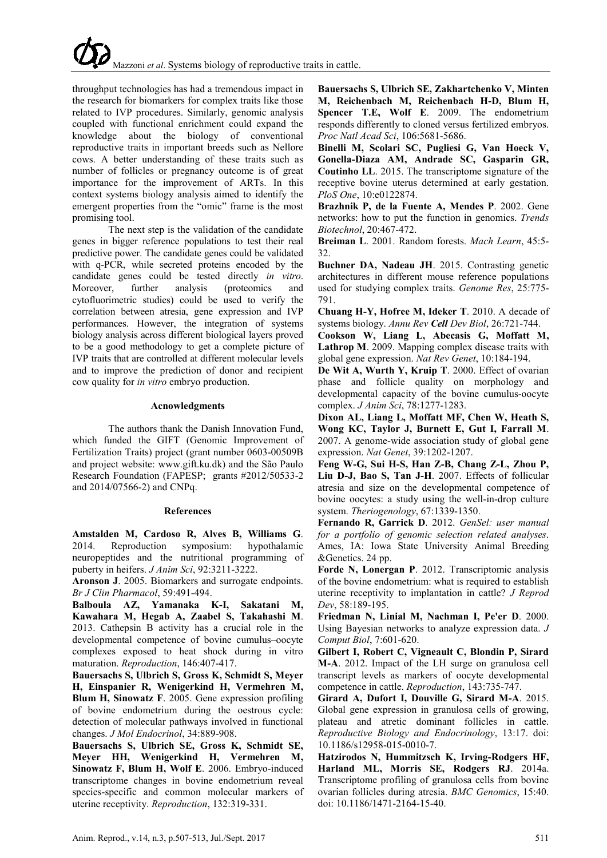throughput technologies has had a tremendous impact in the research for biomarkers for complex traits like those related to IVP procedures. Similarly, genomic analysis coupled with functional enrichment could expand the knowledge about the biology of conventional reproductive traits in important breeds such as Nellore cows. A better understanding of these traits such as number of follicles or pregnancy outcome is of great importance for the improvement of ARTs. In this context systems biology analysis aimed to identify the emergent properties from the "omic" frame is the most promising tool.

The next step is the validation of the candidate genes in bigger reference populations to test their real predictive power. The candidate genes could be validated with q-PCR, while secreted proteins encoded by the candidate genes could be tested directly *in vitro*. Moreover, further analysis (proteomics and cytofluorimetric studies) could be used to verify the correlation between atresia, gene expression and IVP performances. However, the integration of systems biology analysis across different biological layers proved to be a good methodology to get a complete picture of IVP traits that are controlled at different molecular levels and to improve the prediction of donor and recipient cow quality for *in vitro* embryo production.

#### **Acnowledgments**

The authors thank the Danish Innovation Fund, which funded the GIFT (Genomic Improvement of Fertilization Traits) project (grant number 0603-00509B and project website: www.gift.ku.dk) and the São Paulo Research Foundation (FAPESP; grants #2012/50533-2 and 2014/07566-2) and CNPq.

## **References**

**Amstalden M, Cardoso R, Alves B, Williams G**. 2014. Reproduction symposium: hypothalamic neuropeptides and the nutritional programming of puberty in heifers. *J Anim Sci*, 92:3211-3222.

**Aronson J**. 2005. Biomarkers and surrogate endpoints. *Br J Clin Pharmacol*, 59:491-494.

**Balboula AZ, Yamanaka K-I, Sakatani M, Kawahara M, Hegab A, Zaabel S, Takahashi M**. 2013. Cathepsin B activity has a crucial role in the developmental competence of bovine cumulus–oocyte complexes exposed to heat shock during in vitro maturation. *Reproduction*, 146:407-417.

**Bauersachs S, Ulbrich S, Gross K, Schmidt S, Meyer H, Einspanier R, Wenigerkind H, Vermehren M, Blum H, Sinowatz F**. 2005. Gene expression profiling of bovine endometrium during the oestrous cycle: detection of molecular pathways involved in functional changes. *J Mol Endocrinol*, 34:889-908.

**Bauersachs S, Ulbrich SE, Gross K, Schmidt SE, Meyer HH, Wenigerkind H, Vermehren M, Sinowatz F, Blum H, Wolf E**. 2006. Embryo-induced transcriptome changes in bovine endometrium reveal species-specific and common molecular markers of uterine receptivity. *Reproduction*, 132:319-331.

**Bauersachs S, Ulbrich SE, Zakhartchenko V, Minten M, Reichenbach M, Reichenbach H-D, Blum H, Spencer T.E, Wolf E**. 2009. The endometrium responds differently to cloned versus fertilized embryos. *Proc Natl Acad Sci*, 106:5681-5686.

**Binelli M, Scolari SC, Pugliesi G, Van Hoeck V, Gonella-Diaza AM, Andrade SC, Gasparin GR, Coutinho LL**. 2015. The transcriptome signature of the receptive bovine uterus determined at early gestation. *PloS One*, 10:e0122874.

**Brazhnik P, de la Fuente A, Mendes P**. 2002. Gene networks: how to put the function in genomics. *Trends Biotechnol*, 20:467-472.

**Breiman L**. 2001. Random forests. *Mach Learn*, 45:5- 32.

**Buchner DA, Nadeau JH**. 2015. Contrasting genetic architectures in different mouse reference populations used for studying complex traits. *Genome Res*, 25:775- 791.

**Chuang H-Y, Hofree M, Ideker T**. 2010. A decade of systems biology. *Annu Rev Cell Dev Biol*, 26:721-744.

**Cookson W, Liang L, Abecasis G, Moffatt M, Lathrop M**. 2009. Mapping complex disease traits with global gene expression. *Nat Rev Genet*, 10:184-194.

**De Wit A, Wurth Y, Kruip T**. 2000. Effect of ovarian phase and follicle quality on morphology and developmental capacity of the bovine cumulus-oocyte complex. *J Anim Sci*, 78:1277-1283.

**Dixon AL, Liang L, Moffatt MF, Chen W, Heath S, Wong KC, Taylor J, Burnett E, Gut I, Farrall M**. 2007. A genome-wide association study of global gene expression. *Nat Genet*, 39:1202-1207.

**Feng W-G, Sui H-S, Han Z-B, Chang Z-L, Zhou P, Liu D-J, Bao S, Tan J-H**. 2007. Effects of follicular atresia and size on the developmental competence of bovine oocytes: a study using the well-in-drop culture system. *Theriogenology*, 67:1339-1350.

**Fernando R, Garrick D**. 2012. *GenSel: user manual for a portfolio of genomic selection related analyses*. Ames, IA: Iowa State University Animal Breeding &Genetics. 24 pp.

**Forde N, Lonergan P**. 2012. Transcriptomic analysis of the bovine endometrium: what is required to establish uterine receptivity to implantation in cattle? *J Reprod Dev*, 58:189-195.

**Friedman N, Linial M, Nachman I, Pe'er D**. 2000. Using Bayesian networks to analyze expression data. *J Comput Biol*, 7:601-620.

**Gilbert I, Robert C, Vigneault C, Blondin P, Sirard M-A**. 2012. Impact of the LH surge on granulosa cell transcript levels as markers of oocyte developmental competence in cattle. *Reproduction*, 143:735-747.

**Girard A, Dufort I, Douville G, Sirard M-A**. 2015. Global gene expression in granulosa cells of growing, plateau and atretic dominant follicles in cattle. *Reproductive Biology and Endocrinology*, 13:17. doi: 10.1186/s12958-015-0010-7.

**Hatzirodos N, Hummitzsch K, Irving-Rodgers HF, Harland ML, Morris SE, Rodgers RJ**. 2014a. Transcriptome profiling of granulosa cells from bovine ovarian follicles during atresia. *BMC Genomics*, 15:40. doi: 10.1186/1471-2164-15-40.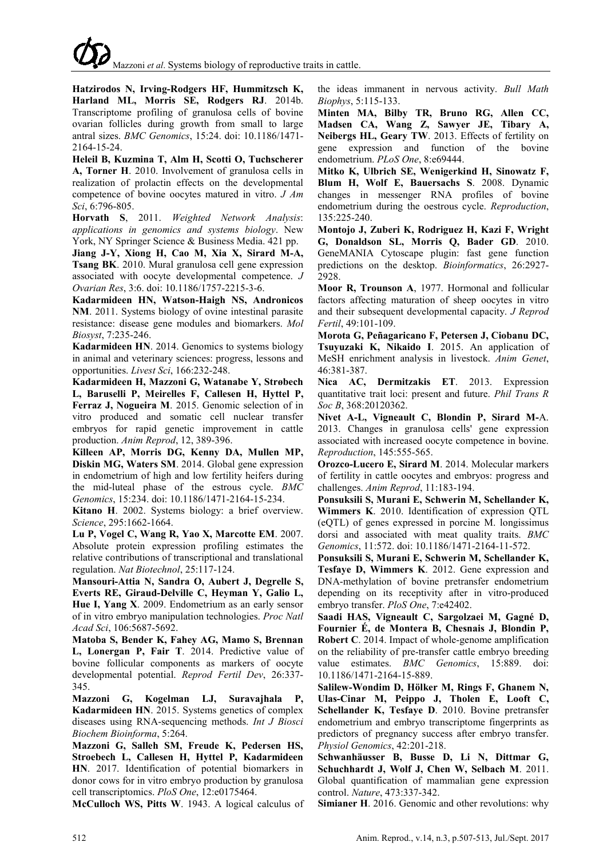**Hatzirodos N, Irving-Rodgers HF, Hummitzsch K, Harland ML, Morris SE, Rodgers RJ**. 2014b. Transcriptome profiling of granulosa cells of bovine ovarian follicles during growth from small to large antral sizes. *BMC Genomics*, 15:24. doi: 10.1186/1471- 2164-15-24.

**Heleil B, Kuzmina T, Alm H, Scotti O, Tuchscherer A, Torner H**. 2010. Involvement of granulosa cells in realization of prolactin effects on the developmental competence of bovine oocytes matured in vitro. *J Am Sci*, 6:796-805.

**Horvath S**, 2011. *Weighted Network Analysis*: *applications in genomics and systems biology*. New York, NY Springer Science & Business Media. 421 pp.

**Jiang J-Y, Xiong H, Cao M, Xia X, Sirard M-A, Tsang BK**. 2010. Mural granulosa cell gene expression associated with oocyte developmental competence. *J Ovarian Res*, 3:6. doi: 10.1186/1757-2215-3-6.

**Kadarmideen HN, Watson-Haigh NS, Andronicos NM**. 2011. Systems biology of ovine intestinal parasite resistance: disease gene modules and biomarkers. *Mol Biosyst*, 7:235-246.

**Kadarmideen HN**. 2014. Genomics to systems biology in animal and veterinary sciences: progress, lessons and opportunities. *Livest Sci*, 166:232-248.

**Kadarmideen H, Mazzoni G, Watanabe Y, Strøbech L, Baruselli P, Meirelles F, Callesen H, Hyttel P, Ferraz J, Nogueira M**. 2015. Genomic selection of in vitro produced and somatic cell nuclear transfer embryos for rapid genetic improvement in cattle production. *Anim Reprod*, 12, 389-396.

**Killeen AP, Morris DG, Kenny DA, Mullen MP, Diskin MG, Waters SM**. 2014. Global gene expression in endometrium of high and low fertility heifers during the mid-luteal phase of the estrous cycle. *BMC Genomics*, 15:234. doi: 10.1186/1471-2164-15-234.

**Kitano H**. 2002. Systems biology: a brief overview. *Science*, 295:1662-1664.

**Lu P, Vogel C, Wang R, Yao X, Marcotte EM**. 2007. Absolute protein expression profiling estimates the relative contributions of transcriptional and translational regulation. *Nat Biotechnol*, 25:117-124.

**Mansouri-Attia N, Sandra O, Aubert J, Degrelle S, Everts RE, Giraud-Delville C, Heyman Y, Galio L, Hue I, Yang X**. 2009. Endometrium as an early sensor of in vitro embryo manipulation technologies. *Proc Natl Acad Sci*, 106:5687-5692.

**Matoba S, Bender K, Fahey AG, Mamo S, Brennan L, Lonergan P, Fair T**. 2014. Predictive value of bovine follicular components as markers of oocyte developmental potential. *Reprod Fertil Dev*, 26:337- 345.

**Mazzoni G, Kogelman LJ, Suravajhala P, Kadarmideen HN**. 2015. Systems genetics of complex diseases using RNA-sequencing methods. *Int J Biosci Biochem Bioinforma*, 5:264.

**Mazzoni G, Salleh SM, Freude K, Pedersen HS, Stroebech L, Callesen H, Hyttel P, Kadarmideen HN**. 2017. Identification of potential biomarkers in donor cows for in vitro embryo production by granulosa cell transcriptomics. *PloS One*, 12:e0175464.

**McCulloch WS, Pitts W**. 1943. A logical calculus of

the ideas immanent in nervous activity. *Bull Math Biophys*, 5:115-133.

**Minten MA, Bilby TR, Bruno RG, Allen CC, Madsen CA, Wang Z, Sawyer JE, Tibary A, Neibergs HL, Geary TW**. 2013. Effects of fertility on gene expression and function of the bovine endometrium. *PLoS One*, 8:e69444.

**Mitko K, Ulbrich SE, Wenigerkind H, Sinowatz F, Blum H, Wolf E, Bauersachs S**. 2008. Dynamic changes in messenger RNA profiles of bovine endometrium during the oestrous cycle. *Reproduction*, 135:225-240.

**Montojo J, Zuberi K, Rodriguez H, Kazi F, Wright G, Donaldson SL, Morris Q, Bader GD**. 2010. GeneMANIA Cytoscape plugin: fast gene function predictions on the desktop. *Bioinformatics*, 26:2927- 2928.

**Moor R, Trounson A**, 1977. Hormonal and follicular factors affecting maturation of sheep oocytes in vitro and their subsequent developmental capacity. *J Reprod Fertil*, 49:101-109.

**Morota G, Peñagaricano F, Petersen J, Ciobanu DC, Tsuyuzaki K, Nikaido I**. 2015. An application of MeSH enrichment analysis in livestock. *Anim Genet*, 46:381-387.

**Nica AC, Dermitzakis ET**. 2013. Expression quantitative trait loci: present and future. *Phil Trans R Soc B*, 368:20120362.

**Nivet A-L, Vigneault C, Blondin P, Sirard M-**A. 2013. Changes in granulosa cells' gene expression associated with increased oocyte competence in bovine. *Reproduction*, 145:555-565.

**Orozco-Lucero E, Sirard M**. 2014. Molecular markers of fertility in cattle oocytes and embryos: progress and challenges. *Anim Reprod*, 11:183-194.

**Ponsuksili S, Murani E, Schwerin M, Schellander K, Wimmers K**. 2010. Identification of expression QTL (eQTL) of genes expressed in porcine M. longissimus dorsi and associated with meat quality traits. *BMC Genomics*, 11:572. doi: 10.1186/1471-2164-11-572.

**Ponsuksili S, Murani E, Schwerin M, Schellander K, Tesfaye D, Wimmers K**. 2012. Gene expression and DNA-methylation of bovine pretransfer endometrium depending on its receptivity after in vitro-produced embryo transfer. *PloS One*, 7:e42402.

**Saadi HAS, Vigneault C, Sargolzaei M, Gagné D, Fournier É, de Montera B, Chesnais J, Blondin P, Robert C**. 2014. Impact of whole-genome amplification on the reliability of pre-transfer cattle embryo breeding value estimates. *BMC Genomics*, 15:889. doi: 10.1186/1471-2164-15-889.

**Salilew-Wondim D, Hölker M, Rings F, Ghanem N, Ulas-Cinar M, Peippo J, Tholen E, Looft C, Schellander K, Tesfaye D**. 2010. Bovine pretransfer endometrium and embryo transcriptome fingerprints as predictors of pregnancy success after embryo transfer. *Physiol Genomics*, 42:201-218.

**Schwanhäusser B, Busse D, Li N, Dittmar G, Schuchhardt J, Wolf J, Chen W, Selbach M**. 2011. Global quantification of mammalian gene expression control. *Nature*, 473:337-342.

**Simianer H**. 2016. Genomic and other revolutions: why